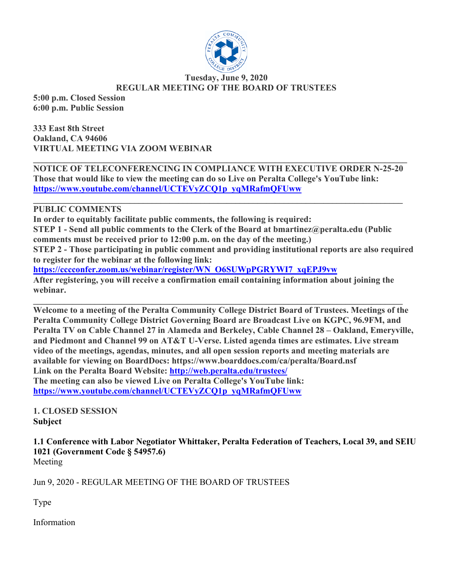

#### **Tuesday, June 9, 2020 REGULAR MEETING OF THE BOARD OF TRUSTEES**

**5:00 p.m. Closed Session 6:00 p.m. Public Session**

**333 East 8th Street Oakland, CA 94606 VIRTUAL MEETING VIA ZOOM WEBINAR**

**\_\_\_\_\_\_\_\_\_\_\_\_\_\_\_\_\_\_\_\_\_\_\_\_\_\_\_\_\_\_\_\_\_\_\_\_\_\_\_\_\_\_\_\_\_\_\_\_\_\_\_\_\_\_\_\_\_\_\_\_\_\_\_\_\_\_\_\_\_\_\_\_\_\_\_\_\_\_\_\_\_\_\_\_\_ NOTICE OF TELECONFERENCING IN COMPLIANCE WITH EXECUTIVE ORDER N-25-20 Those that would like to view the meeting can do so Live on Peralta College's YouTube link: https://www.youtube.com/channel/UCTEVyZCQ1p\_yqMRafmQFUww**

**\_\_\_\_\_\_\_\_\_\_\_\_\_\_\_\_\_\_\_\_\_\_\_\_\_\_\_\_\_\_\_\_\_\_\_\_\_\_\_\_\_\_\_\_\_\_\_\_\_\_\_\_\_\_\_\_\_\_\_\_\_\_\_\_\_\_\_\_\_\_\_\_\_\_\_\_\_\_\_\_\_\_\_\_**

#### **PUBLIC COMMENTS**

**In order to equitably facilitate public comments, the following is required: STEP 1 - Send all public comments to the Clerk of the Board at bmartinez@peralta.edu (Public comments must be received prior to 12:00 p.m. on the day of the meeting.) STEP 2 - Those participating in public comment and providing institutional reports are also required to register for the webinar at the following link: https://cccconfer.zoom.us/webinar/register/WN\_O6SUWpPGRYWI7\_xqEPJ9vw After registering, you will receive a confirmation email containing information about joining the webinar.**

**\_\_\_\_\_\_\_\_\_\_\_\_\_\_\_\_\_\_\_\_\_\_\_\_\_\_\_\_\_\_\_\_\_\_\_\_\_\_\_\_\_\_\_\_\_\_\_\_\_\_\_\_\_\_\_\_\_\_\_\_\_\_\_\_\_\_\_\_\_\_\_\_\_\_\_\_\_\_\_\_\_\_\_\_ Welcome to a meeting of the Peralta Community College District Board of Trustees. Meetings of the Peralta Community College District Governing Board are Broadcast Live on KGPC, 96.9FM, and Peralta TV on Cable Channel 27 in Alameda and Berkeley, Cable Channel 28 – Oakland, Emeryville, and Piedmont and Channel 99 on AT&T U-Verse. Listed agenda times are estimates. Live stream video of the meetings, agendas, minutes, and all open session reports and meeting materials are available for viewing on BoardDocs: https://www.boarddocs.com/ca/peralta/Board.nsf Link on the Peralta Board Website: http://web.peralta.edu/trustees/ The meeting can also be viewed Live on Peralta College's YouTube link: https://www.youtube.com/channel/UCTEVyZCQ1p\_yqMRafmQFUww**

**1. CLOSED SESSION Subject**

**1.1 Conference with Labor Negotiator Whittaker, Peralta Federation of Teachers, Local 39, and SEIU 1021 (Government Code § 54957.6)** Meeting

Jun 9, 2020 - REGULAR MEETING OF THE BOARD OF TRUSTEES

Type

Information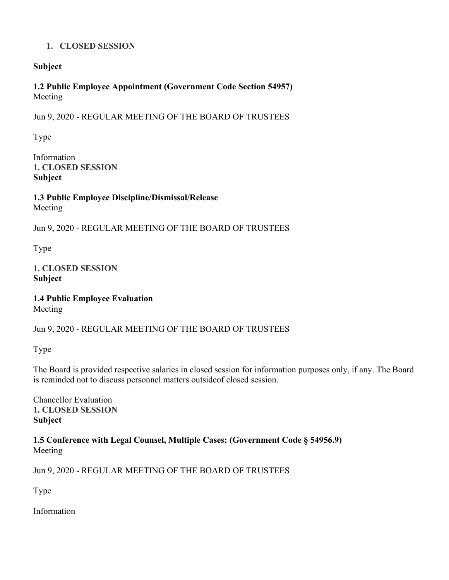## **1. CLOSED SESSION**

## **Subject**

**1.2 Public Employee Appointment (Government Code Section 54957)** Meeting

Jun 9, 2020 - REGULAR MEETING OF THE BOARD OF TRUSTEES

Type

Information **1. CLOSED SESSION Subject**

**1.3 Public Employee Discipline/Dismissal/Release** Meeting

Jun 9, 2020 - REGULAR MEETING OF THE BOARD OF TRUSTEES

Type

**1. CLOSED SESSION Subject**

**1.4 Public Employee Evaluation** Meeting

Jun 9, 2020 - REGULAR MEETING OF THE BOARD OF TRUSTEES

Type

The Board is provided respective salaries in closed session for information purposes only, if any. The Board is reminded not to discuss personnel matters outsideof closed session.

Chancellor Evaluation **1. CLOSED SESSION Subject**

**1.5 Conference with Legal Counsel, Multiple Cases: (Government Code § 54956.9)** Meeting

Jun 9, 2020 - REGULAR MEETING OF THE BOARD OF TRUSTEES

Type

Information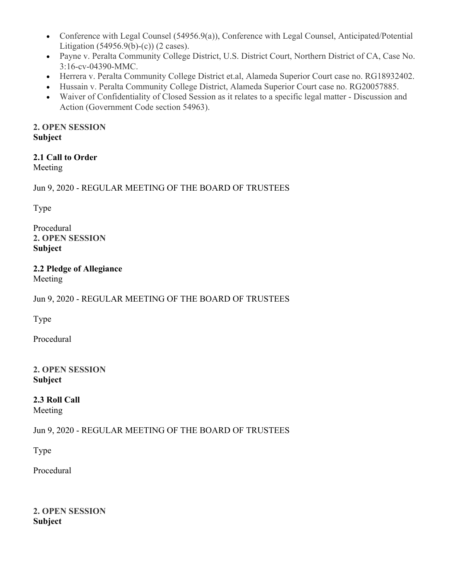- Conference with Legal Counsel (54956.9(a)), Conference with Legal Counsel, Anticipated/Potential Litigation  $(54956.9(b)-(c))$  (2 cases).
- Payne v. Peralta Community College District, U.S. District Court, Northern District of CA, Case No. 3:16-cv-04390-MMC.
- Herrera v. Peralta Community College District et.al, Alameda Superior Court case no. RG18932402.
- Hussain v. Peralta Community College District, Alameda Superior Court case no. RG20057885.
- Waiver of Confidentiality of Closed Session as it relates to a specific legal matter Discussion and Action (Government Code section 54963).

## **2. OPEN SESSION Subject**

# **2.1 Call to Order**

Meeting

Jun 9, 2020 - REGULAR MEETING OF THE BOARD OF TRUSTEES

Type

Procedural **2. OPEN SESSION Subject**

# **2.2 Pledge of Allegiance**

Meeting

# Jun 9, 2020 - REGULAR MEETING OF THE BOARD OF TRUSTEES

Type

Procedural

## **2. OPEN SESSION Subject**

# **2.3 Roll Call**

Meeting

# Jun 9, 2020 - REGULAR MEETING OF THE BOARD OF TRUSTEES

Type

Procedural

#### **2. OPEN SESSION Subject**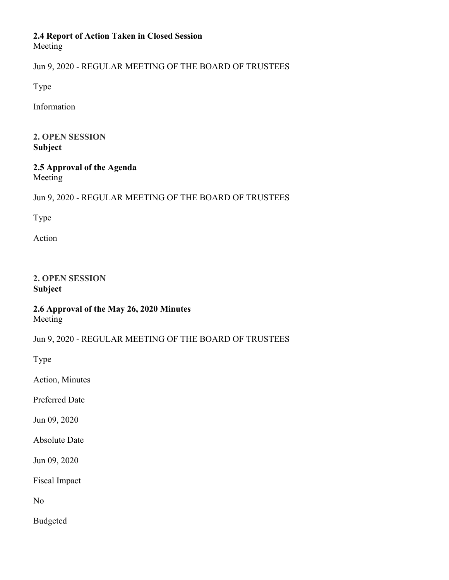#### **2.4 Report of Action Taken in Closed Session** Meeting

Jun 9, 2020 - REGULAR MEETING OF THE BOARD OF TRUSTEES

Type

Information

#### **2. OPEN SESSION Subject**

#### **2.5 Approval of the Agenda** Meeting

# Jun 9, 2020 - REGULAR MEETING OF THE BOARD OF TRUSTEES

Type

Action

#### **2. OPEN SESSION Subject**

## **2.6 Approval of the May 26, 2020 Minutes** Meeting

Jun 9, 2020 - REGULAR MEETING OF THE BOARD OF TRUSTEES

Type

Action, Minutes

Preferred Date

Jun 09, 2020

Absolute Date

Jun 09, 2020

Fiscal Impact

No

Budgeted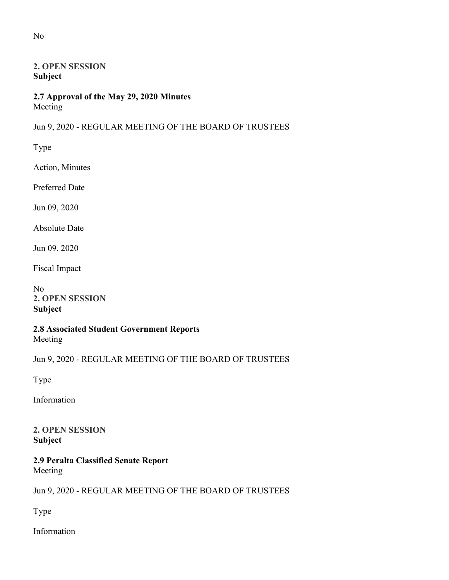## **2. OPEN SESSION Subject**

## **2.7 Approval of the May 29, 2020 Minutes** Meeting

# Jun 9, 2020 - REGULAR MEETING OF THE BOARD OF TRUSTEES

Type

Action, Minutes

Preferred Date

Jun 09, 2020

Absolute Date

Jun 09, 2020

Fiscal Impact

No **2. OPEN SESSION Subject**

#### **2.8 Associated Student Government Reports** Meeting

Jun 9, 2020 - REGULAR MEETING OF THE BOARD OF TRUSTEES

Type

Information

**2. OPEN SESSION Subject**

#### **2.9 Peralta Classified Senate Report** Meeting

Jun 9, 2020 - REGULAR MEETING OF THE BOARD OF TRUSTEES

Type

Information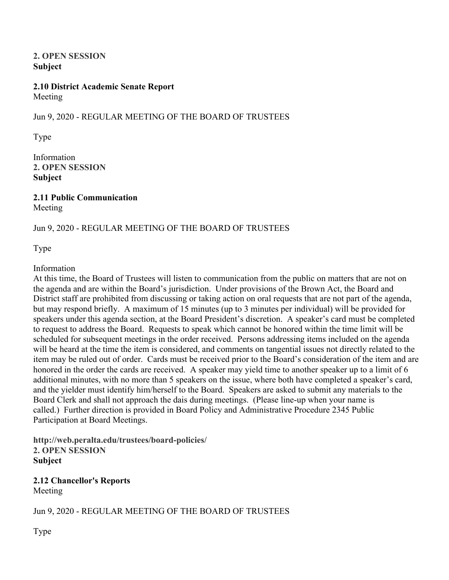#### **2. OPEN SESSION Subject**

#### **2.10 District Academic Senate Report** Meeting

## Jun 9, 2020 - REGULAR MEETING OF THE BOARD OF TRUSTEES

Type

Information **2. OPEN SESSION Subject**

**2.11 Public Communication** Meeting

## Jun 9, 2020 - REGULAR MEETING OF THE BOARD OF TRUSTEES

Type

#### Information

At this time, the Board of Trustees will listen to communication from the public on matters that are not on the agenda and are within the Board's jurisdiction. Under provisions of the Brown Act, the Board and District staff are prohibited from discussing or taking action on oral requests that are not part of the agenda, but may respond briefly. A maximum of 15 minutes (up to 3 minutes per individual) will be provided for speakers under this agenda section, at the Board President's discretion. A speaker's card must be completed to request to address the Board. Requests to speak which cannot be honored within the time limit will be scheduled for subsequent meetings in the order received. Persons addressing items included on the agenda will be heard at the time the item is considered, and comments on tangential issues not directly related to the item may be ruled out of order. Cards must be received prior to the Board's consideration of the item and are honored in the order the cards are received. A speaker may yield time to another speaker up to a limit of 6 additional minutes, with no more than 5 speakers on the issue, where both have completed a speaker's card, and the yielder must identify him/herself to the Board. Speakers are asked to submit any materials to the Board Clerk and shall not approach the dais during meetings. (Please line-up when your name is called.) Further direction is provided in Board Policy and Administrative Procedure 2345 Public Participation at Board Meetings.

**http://web.peralta.edu/trustees/board-policies/ 2. OPEN SESSION Subject**

# **2.12 Chancellor's Reports**

Meeting

Jun 9, 2020 - REGULAR MEETING OF THE BOARD OF TRUSTEES

Type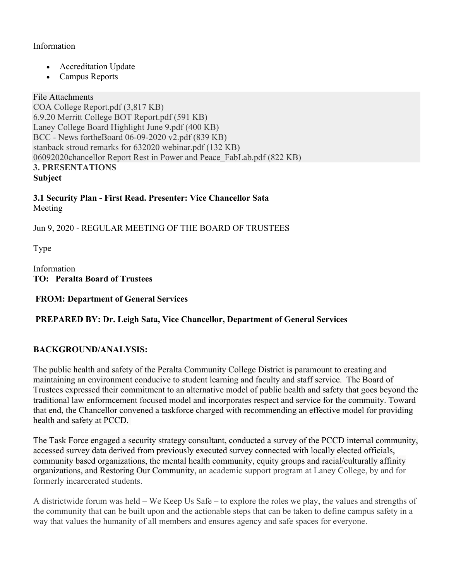## Information

- Accreditation Update
- Campus Reports

#### File Attachments

COA College Report.pdf (3,817 KB) 6.9.20 Merritt College BOT Report.pdf (591 KB) Laney College Board Highlight June 9.pdf (400 KB) BCC - News fortheBoard 06-09-2020 v2.pdf (839 KB) stanback stroud remarks for 632020 webinar.pdf (132 KB) 06092020chancellor Report Rest in Power and Peace\_FabLab.pdf (822 KB) **3. PRESENTATIONS Subject**

**3.1 Security Plan - First Read. Presenter: Vice Chancellor Sata** Meeting

Jun 9, 2020 - REGULAR MEETING OF THE BOARD OF TRUSTEES

Type

Information **TO: Peralta Board of Trustees**

**FROM: Department of General Services** 

## **PREPARED BY: Dr. Leigh Sata, Vice Chancellor, Department of General Services**

## **BACKGROUND/ANALYSIS:**

The public health and safety of the Peralta Community College District is paramount to creating and maintaining an environment conducive to student learning and faculty and staff service. The Board of Trustees expressed their commitment to an alternative model of public health and safety that goes beyond the traditional law enformcement focused model and incorporates respect and service for the commuity. Toward that end, the Chancellor convened a taskforce charged with recommending an effective model for providing health and safety at PCCD.

The Task Force engaged a security strategy consultant, conducted a survey of the PCCD internal community, accessed survey data derived from previously executed survey connected with locally elected officials, community based organizations, the mental health community, equity groups and racial/culturally affinity organizations, and Restoring Our Community, an academic support program at Laney College, by and for formerly incarcerated students.

A districtwide forum was held – We Keep Us Safe – to explore the roles we play, the values and strengths of the community that can be built upon and the actionable steps that can be taken to define campus safety in a way that values the humanity of all members and ensures agency and safe spaces for everyone.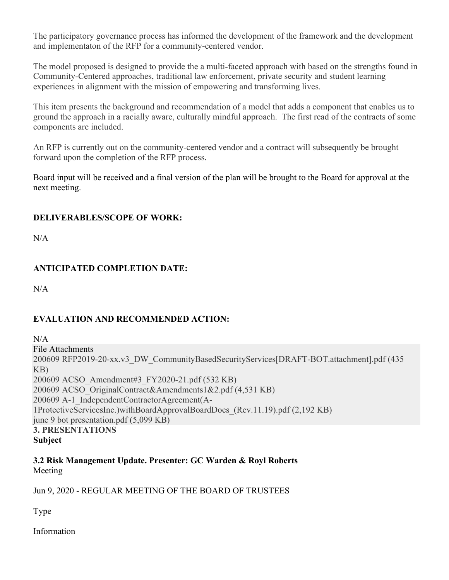The participatory governance process has informed the development of the framework and the development and implementaton of the RFP for a community-centered vendor.

The model proposed is designed to provide the a multi-faceted approach with based on the strengths found in Community-Centered approaches, traditional law enforcement, private security and student learning experiences in alignment with the mission of empowering and transforming lives.

This item presents the background and recommendation of a model that adds a component that enables us to ground the approach in a racially aware, culturally mindful approach. The first read of the contracts of some components are included.

An RFP is currently out on the community-centered vendor and a contract will subsequently be brought forward upon the completion of the RFP process.

Board input will be received and a final version of the plan will be brought to the Board for approval at the next meeting.

## **DELIVERABLES/SCOPE OF WORK:**

 $N/A$ 

# **ANTICIPATED COMPLETION DATE:**

 $N/A$ 

# **EVALUATION AND RECOMMENDED ACTION:**

 $N/A$ File Attachments 200609 RFP2019-20-xx.v3\_DW\_CommunityBasedSecurityServices[DRAFT-BOT.attachment].pdf (435 KB) 200609 ACSO\_Amendment#3\_FY2020-21.pdf (532 KB) 200609 ACSO\_OriginalContract&Amendments1&2.pdf (4,531 KB) 200609 A-1\_IndependentContractorAgreement(A-1ProtectiveServicesInc.)withBoardApprovalBoardDocs\_(Rev.11.19).pdf (2,192 KB) june 9 bot presentation.pdf (5,099 KB) **3. PRESENTATIONS Subject**

**3.2 Risk Management Update. Presenter: GC Warden & Royl Roberts** Meeting

Jun 9, 2020 - REGULAR MEETING OF THE BOARD OF TRUSTEES

Type

Information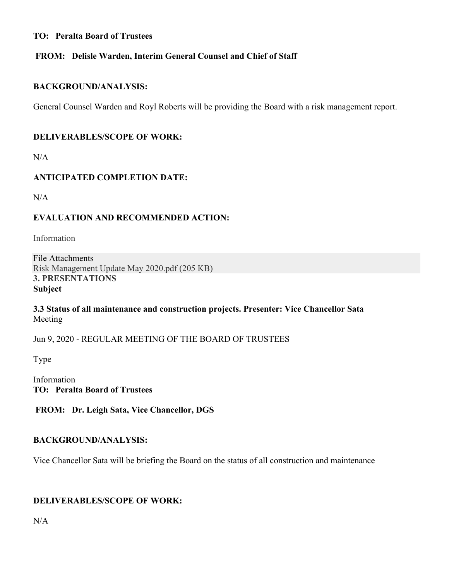#### **TO: Peralta Board of Trustees**

## **FROM: Delisle Warden, Interim General Counsel and Chief of Staff**

#### **BACKGROUND/ANALYSIS:**

General Counsel Warden and Royl Roberts will be providing the Board with a risk management report.

#### **DELIVERABLES/SCOPE OF WORK:**

N/A

## **ANTICIPATED COMPLETION DATE:**

 $N/A$ 

## **EVALUATION AND RECOMMENDED ACTION:**

Information

File Attachments Risk Management Update May 2020.pdf (205 KB) **3. PRESENTATIONS Subject**

**3.3 Status of all maintenance and construction projects. Presenter: Vice Chancellor Sata** Meeting

Jun 9, 2020 - REGULAR MEETING OF THE BOARD OF TRUSTEES

Type

Information **TO: Peralta Board of Trustees**

**FROM: Dr. Leigh Sata, Vice Chancellor, DGS**

#### **BACKGROUND/ANALYSIS:**

Vice Chancellor Sata will be briefing the Board on the status of all construction and maintenance

#### **DELIVERABLES/SCOPE OF WORK:**

 $N/A$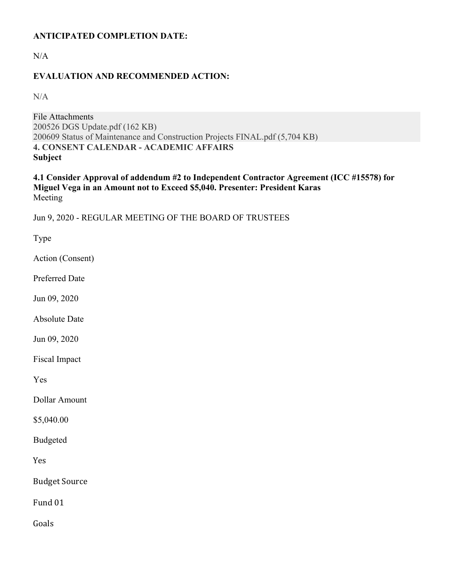## **ANTICIPATED COMPLETION DATE:**

N/A

## **EVALUATION AND RECOMMENDED ACTION:**

N/A

File Attachments 200526 DGS Update.pdf (162 KB) 200609 Status of Maintenance and Construction Projects FINAL.pdf (5,704 KB) **4. CONSENT CALENDAR - ACADEMIC AFFAIRS Subject**

**4.1 Consider Approval of addendum #2 to Independent Contractor Agreement (ICC #15578) for Miguel Vega in an Amount not to Exceed \$5,040. Presenter: President Karas** Meeting

Jun 9, 2020 - REGULAR MEETING OF THE BOARD OF TRUSTEES

Type

Action (Consent)

Preferred Date

Jun 09, 2020

Absolute Date

Jun 09, 2020

Fiscal Impact

Yes

Dollar Amount

\$5,040.00

Budgeted

Yes

**Budget Source** 

Fund 01

Goals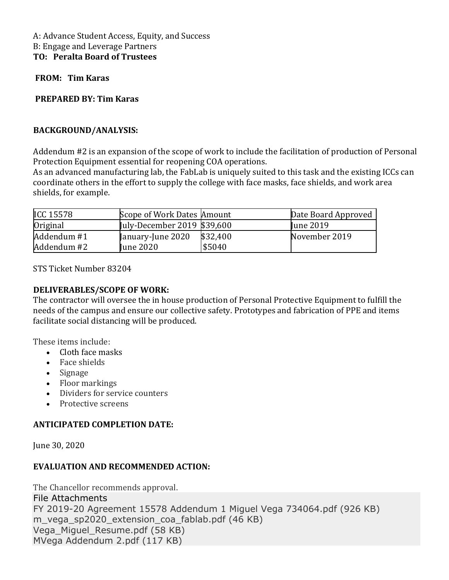A: Advance Student Access, Equity, and Success B: Engage and Leverage Partners **TO: Peralta Board of Trustees**

**FROM: Tim Karas**

#### **PREPARED BY: Tim Karas**

#### **BACKGROUND/ANALYSIS:**

Addendum #2 is an expansion of the scope of work to include the facilitation of production of Personal Protection Equipment essential for reopening COA operations.

As an advanced manufacturing lab, the FabLab is uniquely suited to this task and the existing ICCs can coordinate others in the effort to supply the college with face masks, face shields, and work area shields, for example.

| <b>ICC 15578</b> | Scope of Work Dates Amount  |          | Date Board Approved |
|------------------|-----------------------------|----------|---------------------|
| Original         | July-December 2019 \$39,600 |          | <b>I</b> une 2019   |
| Addendum #1      | January-June 2020           | \$32,400 | November 2019       |
| Addendum #2      | <b>June 2020</b>            | \$5040   |                     |

STS Ticket Number 83204

#### **DELIVERABLES/SCOPE OF WORK:**

The contractor will oversee the in house production of Personal Protective Equipment to fulfill the needs of the campus and ensure our collective safety. Prototypes and fabrication of PPE and items facilitate social distancing will be produced.

These items include:

- Cloth face masks
- Face shields
- Signage
- Floor markings
- Dividers for service counters
- Protective screens

#### **ANTICIPATED COMPLETION DATE:**

June 30, 2020

#### **EVALUATION AND RECOMMENDED ACTION:**

The Chancellor recommends approval. File Attachments FY 2019-20 Agreement 15578 Addendum 1 Miguel Vega 734064.pdf (926 KB) m vega sp2020 extension coa fablab.pdf (46 KB) Vega\_Miguel\_Resume.pdf (58 KB) MVega Addendum 2.pdf (117 KB)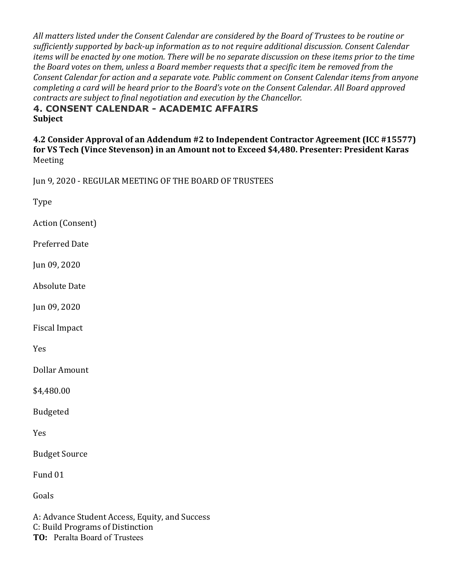All matters listed under the Consent Calendar are considered by the Board of Trustees to be routine or sufficiently supported by back-up information as to not require additional discussion. Consent Calendar *items* will be enacted by one motion. There will be no separate discussion on these items prior to the time the Board votes on them, unless a Board member requests that a specific item be removed from the *Consent Calendar for action and a separate vote. Public comment on Consent Calendar items from anyone* completing a card will be heard prior to the Board's vote on the Consent Calendar. All Board approved *contracts are subject to final negotiation and execution by the Chancellor.* 

**4. CONSENT CALENDAR - ACADEMIC AFFAIRS Subject**

**4.2 Consider Approval of an Addendum #2 to Independent Contractor Agreement (ICC #15577)** for VS Tech (Vince Stevenson) in an Amount not to Exceed \$4,480. Presenter: President Karas Meeting

Jun 9, 2020 - REGULAR MEETING OF THE BOARD OF TRUSTEES

Type

Action (Consent)

Preferred Date

Jun 09, 2020

Absolute Date

Jun 09, 2020

Fiscal Impact

Yes

Dollar Amount

\$4,480.00

Budgeted

Yes

Budget Source

Fund 01

Goals

A: Advance Student Access, Equity, and Success C: Build Programs of Distinction **TO:** Peralta Board of Trustees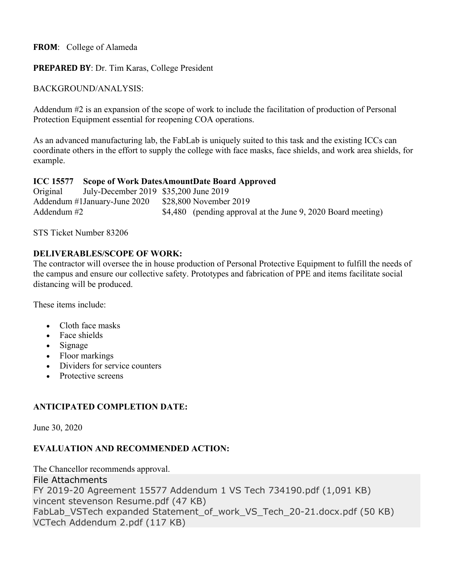**FROM**: College of Alameda

**PREPARED BY**: Dr. Tim Karas, College President

BACKGROUND/ANALYSIS:

Addendum #2 is an expansion of the scope of work to include the facilitation of production of Personal Protection Equipment essential for reopening COA operations.

As an advanced manufacturing lab, the FabLab is uniquely suited to this task and the existing ICCs can coordinate others in the effort to supply the college with face masks, face shields, and work area shields, for example.

#### **ICC 15577 Scope of Work DatesAmountDate Board Approved**

Original July-December 2019 \$35,200 June 2019 Addendum #1January-June 2020 \$28,800 November 2019 Addendum #2  $$4,480$  (pending approval at the June 9, 2020 Board meeting)

STS Ticket Number 83206

## **DELIVERABLES/SCOPE OF WORK:**

The contractor will oversee the in house production of Personal Protective Equipment to fulfill the needs of the campus and ensure our collective safety. Prototypes and fabrication of PPE and items facilitate social distancing will be produced.

These items include:

- Cloth face masks
- Face shields
- Signage
- Floor markings
- Dividers for service counters
- Protective screens

## **ANTICIPATED COMPLETION DATE:**

June 30, 2020

## **EVALUATION AND RECOMMENDED ACTION:**

The Chancellor recommends approval. File Attachments FY 2019-20 Agreement 15577 Addendum 1 VS Tech 734190.pdf (1,091 KB) vincent stevenson Resume.pdf (47 KB) FabLab VSTech expanded Statement of work VS Tech 20-21.docx.pdf (50 KB) VCTech Addendum 2.pdf (117 KB)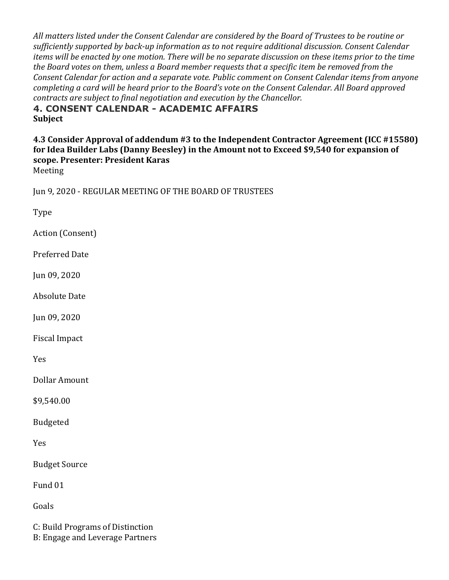All matters listed under the Consent Calendar are considered by the Board of Trustees to be routine or sufficiently supported by back-up information as to not require additional discussion. Consent Calendar *items* will be enacted by one motion. There will be no separate discussion on these items prior to the time the Board votes on them, unless a Board member requests that a specific *item be removed* from the *Consent Calendar for action and a separate vote. Public comment on Consent Calendar items from anyone* completing a card will be heard prior to the Board's vote on the Consent Calendar. All Board approved *contracts are subject to final negotiation and execution by the Chancellor.* 

**4. CONSENT CALENDAR - ACADEMIC AFFAIRS Subject**

**4.3 Consider Approval of addendum #3 to the Independent Contractor Agreement (ICC #15580)** for Idea Builder Labs (Danny Beesley) in the Amount not to Exceed \$9,540 for expansion of **scope. Presenter: President Karas**

Meeting

Jun 9, 2020 - REGULAR MEETING OF THE BOARD OF TRUSTEES

Type

Action (Consent)

Preferred Date

Jun 09, 2020

Absolute Date

Jun 09, 2020

Fiscal Impact

Yes

Dollar Amount

\$9,540.00

Budgeted

Yes

**Budget Source** 

Fund 01

Goals

C: Build Programs of Distinction B: Engage and Leverage Partners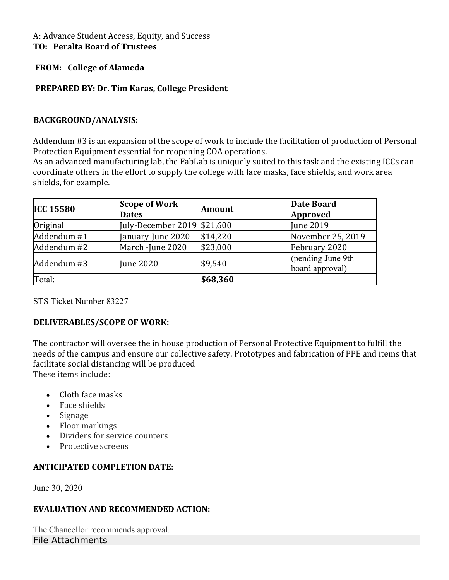#### A: Advance Student Access, Equity, and Success **TO: Peralta Board of Trustees**

## **FROM: College of Alameda**

## **PREPARED BY: Dr. Tim Karas, College President**

#### **BACKGROUND/ANALYSIS:**

Addendum #3 is an expansion of the scope of work to include the facilitation of production of Personal Protection Equipment essential for reopening COA operations.

As an advanced manufacturing lab, the FabLab is uniquely suited to this task and the existing ICCs can coordinate others in the effort to supply the college with face masks, face shields, and work area shields, for example.

| <b>ICC 15580</b> | <b>Scope of Work</b><br><b>Dates</b> | <b>Amount</b> | <b>Date Board</b><br><b>Approved</b> |
|------------------|--------------------------------------|---------------|--------------------------------------|
| Original         | July-December 2019 \$21,600          |               | <b>Iune 2019</b>                     |
| Addendum #1      | January-June 2020                    | \$14,220      | November 25, 2019                    |
| Addendum #2      | March -June 2020                     | \$23,000      | February 2020                        |
| Addendum #3      | <b>June 2020</b>                     | \$9,540       | (pending June 9th<br>board approval) |
| Total:           |                                      | \$68,360      |                                      |

STS Ticket Number 83227

#### **DELIVERABLES/SCOPE OF WORK:**

The contractor will oversee the in house production of Personal Protective Equipment to fulfill the needs of the campus and ensure our collective safety. Prototypes and fabrication of PPE and items that facilitate social distancing will be produced These items include:

• Cloth face masks

- Face shields
- Signage
- Floor markings
- Dividers for service counters
- Protective screens

## **ANTICIPATED COMPLETION DATE:**

June 30, 2020

#### **EVALUATION AND RECOMMENDED ACTION:**

The Chancellor recommends approval. File Attachments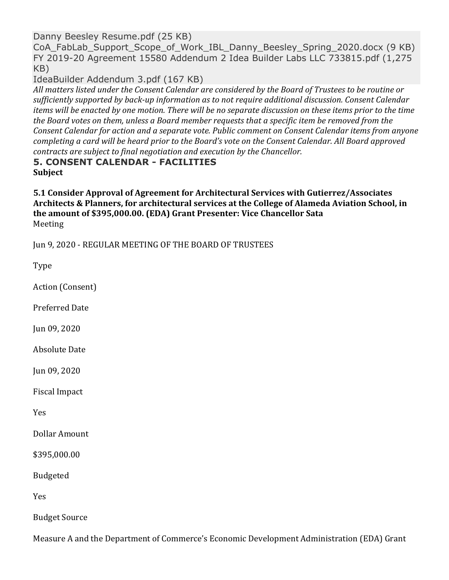Danny Beesley Resume.pdf (25 KB)

CoA FabLab Support Scope of Work IBL Danny Beesley Spring 2020.docx (9 KB) FY 2019-20 Agreement 15580 Addendum 2 Idea Builder Labs LLC 733815.pdf (1,275 KB)

IdeaBuilder Addendum 3.pdf (167 KB)

All matters listed under the Consent Calendar are considered by the Board of Trustees to be routine or sufficiently supported by back-up information as to not require additional discussion. Consent Calendar *items* will be enacted by one motion. There will be no separate discussion on these items prior to the time the Board votes on them, unless a Board member requests that a specific item be removed from the *Consent Calendar for action and a separate vote. Public comment on Consent Calendar items from anyone* completing a card will be heard prior to the Board's vote on the Consent Calendar. All Board approved *contracts are subject to final negotiation and execution by the Chancellor.* 

## **5. CONSENT CALENDAR - FACILITIES Subject**

**5.1 Consider Approval of Agreement for Architectural Services with Gutierrez/Associates** Architects & Planners, for architectural services at the College of Alameda Aviation School, in the amount of \$395,000.00. (EDA) Grant Presenter: Vice Chancellor Sata Meeting

Jun 9, 2020 - REGULAR MEETING OF THE BOARD OF TRUSTEES

Type Action (Consent) Preferred Date Jun 09, 2020 **Absolute Date** Jun 09, 2020 Fiscal Impact Yes Dollar Amount \$395,000.00 Budgeted Yes Budget Source

Measure A and the Department of Commerce's Economic Development Administration (EDA) Grant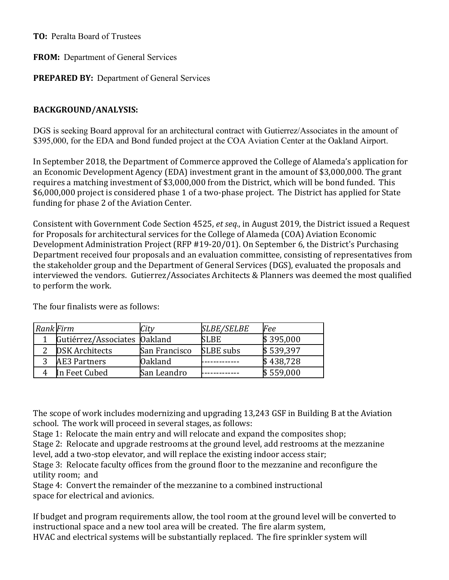**TO:** Peralta Board of Trustees

**FROM:** Department of General Services

**PREPARED BY:** Department of General Services

## **BACKGROUND/ANALYSIS:**

DGS is seeking Board approval for an architectural contract with Gutierrez/Associates in the amount of \$395,000, for the EDA and Bond funded project at the COA Aviation Center at the Oakland Airport.

In September 2018, the Department of Commerce approved the College of Alameda's application for an Economic Development Agency (EDA) investment grant in the amount of \$3,000,000. The grant requires a matching investment of \$3,000,000 from the District, which will be bond funded. This \$6,000,000 project is considered phase 1 of a two-phase project. The District has applied for State funding for phase 2 of the Aviation Center.

Consistent with Government Code Section 4525, *et seq.*, in August 2019, the District issued a Request for Proposals for architectural services for the College of Alameda (COA) Aviation Economic Development Administration Project (RFP #19-20/01). On September 6, the District's Purchasing Department received four proposals and an evaluation committee, consisting of representatives from the stakeholder group and the Department of General Services (DGS), evaluated the proposals and interviewed the vendors. Gutierrez/Associates Architects & Planners was deemed the most qualified to perform the work.

| <b>Rank Firm</b> |                              | $\mathcal{L}$ ity | <i><b>SLBE/SELBE</b></i> | Fee       |
|------------------|------------------------------|-------------------|--------------------------|-----------|
|                  | Gutiérrez/Associates Oakland |                   | <b>SLBE</b>              | \$395,000 |
|                  | <b>DSK Architects</b>        | San Francisco     | <b>SLBE</b> subs         | \$539,397 |
|                  | AE3 Partners                 | Oakland           |                          | \$438,728 |
|                  | In Feet Cubed                | San Leandro       |                          | \$559,000 |

The four finalists were as follows:

The scope of work includes modernizing and upgrading 13,243 GSF in Building B at the Aviation school. The work will proceed in several stages, as follows:

Stage 1: Relocate the main entry and will relocate and expand the composites shop;

Stage 2: Relocate and upgrade restrooms at the ground level, add restrooms at the mezzanine level, add a two-stop elevator, and will replace the existing indoor access stair; 

Stage 3: Relocate faculty offices from the ground floor to the mezzanine and reconfigure the utility room; and

Stage 4: Convert the remainder of the mezzanine to a combined instructional space for electrical and avionics.

If budget and program requirements allow, the tool room at the ground level will be converted to instructional space and a new tool area will be created. The fire alarm system, HVAC and electrical systems will be substantially replaced. The fire sprinkler system will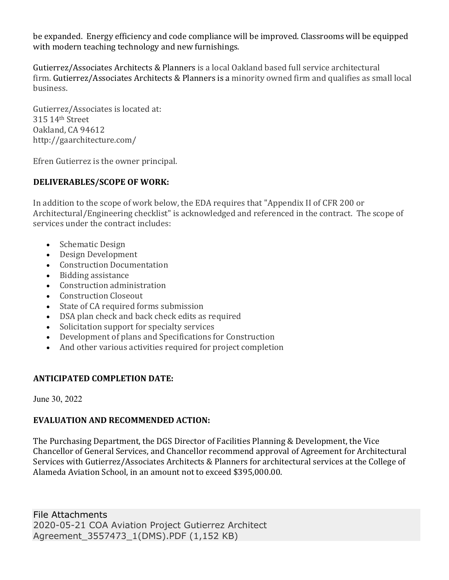be expanded. Energy efficiency and code compliance will be improved. Classrooms will be equipped with modern teaching technology and new furnishings.

Gutierrez/Associates Architects & Planners is a local Oakland based full service architectural firm. Gutierrez/Associates Architects & Planners is a minority owned firm and qualifies as small local business.

Gutierrez/Associates is located at: 315 14th Street Oakland, CA 94612 http://gaarchitecture.com/

Efren Gutierrez is the owner principal.

## **DELIVERABLES/SCOPE OF WORK:**

In addition to the scope of work below, the EDA requires that "Appendix II of CFR 200 or Architectural/Engineering checklist" is acknowledged and referenced in the contract. The scope of services under the contract includes:

- Schematic Design
- Design Development
- Construction Documentation
- Bidding assistance
- Construction administration
- Construction Closeout
- State of CA required forms submission
- DSA plan check and back check edits as required
- Solicitation support for specialty services
- Development of plans and Specifications for Construction
- And other various activities required for project completion

# **ANTICIPATED COMPLETION DATE:**

June 30, 2022

## **EVALUATION AND RECOMMENDED ACTION:**

The Purchasing Department, the DGS Director of Facilities Planning & Development, the Vice Chancellor of General Services, and Chancellor recommend approval of Agreement for Architectural Services with Gutierrez/Associates Architects & Planners for architectural services at the College of Alameda Aviation School, in an amount not to exceed \$395,000.00.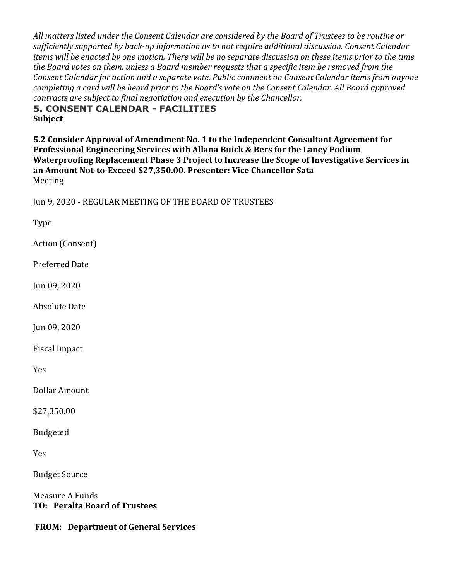All matters listed under the Consent Calendar are considered by the Board of Trustees to be routine or sufficiently supported by back-up information as to not require additional discussion. Consent Calendar *items* will be enacted by one motion. There will be no separate discussion on these items prior to the time the Board votes on them, unless a Board member requests that a specific item be removed from the *Consent Calendar for action and a separate vote. Public comment on Consent Calendar items from anyone* completing a card will be heard prior to the Board's vote on the Consent Calendar. All Board approved *contracts are subject to final negotiation and execution by the Chancellor.* 

**5. CONSENT CALENDAR - FACILITIES Subject**

**5.2 Consider Approval of Amendment No. 1 to the Independent Consultant Agreement for Professional Engineering Services with Allana Buick & Bers for the Laney Podium Waterproofing Replacement Phase 3 Project to Increase the Scope of Investigative Services in** an Amount Not-to-Exceed \$27,350.00. Presenter: Vice Chancellor Sata Meeting

Jun 9, 2020 - REGULAR MEETING OF THE BOARD OF TRUSTEES

Type

Action (Consent)

Preferred Date

Jun 09, 2020

Absolute Date

Jun 09, 2020

Fiscal Impact

Yes

Dollar Amount

\$27,350.00

Budgeted

Yes

**Budget Source** 

Measure A Funds **TO: Peralta Board of Trustees**

**FROM: Department of General Services**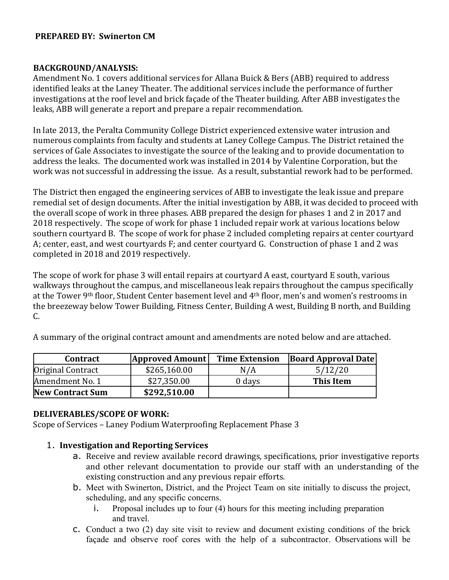#### **PREPARED BY: Swinerton CM**

#### **BACKGROUND/ANALYSIS:**

Amendment No. 1 covers additional services for Allana Buick & Bers (ABB) required to address identified leaks at the Laney Theater. The additional services include the performance of further investigations at the roof level and brick façade of the Theater building. After ABB investigates the leaks, ABB will generate a report and prepare a repair recommendation.

In late 2013, the Peralta Community College District experienced extensive water intrusion and numerous complaints from faculty and students at Laney College Campus. The District retained the services of Gale Associates to investigate the source of the leaking and to provide documentation to address the leaks. The documented work was installed in 2014 by Valentine Corporation, but the work was not successful in addressing the issue. As a result, substantial rework had to be performed.

The District then engaged the engineering services of ABB to investigate the leak issue and prepare remedial set of design documents. After the initial investigation by ABB, it was decided to proceed with the overall scope of work in three phases. ABB prepared the design for phases 1 and 2 in 2017 and 2018 respectively. The scope of work for phase 1 included repair work at various locations below southern courtyard B. The scope of work for phase 2 included completing repairs at center courtyard A; center, east, and west courtyards F; and center courtyard G. Construction of phase 1 and 2 was completed in 2018 and 2019 respectively.

The scope of work for phase 3 will entail repairs at courtyard A east, courtyard E south, various walkways throughout the campus, and miscellaneous leak repairs throughout the campus specifically at the Tower 9th floor, Student Center basement level and 4th floor, men's and women's restrooms in the breezeway below Tower Building, Fitness Center, Building A west, Building B north, and Building  $C_{\cdot}$ 

| <b>Contract</b>         | <b>Approved Amount</b> | <b>Time Extension</b> | <b>Board Approval Date</b> |
|-------------------------|------------------------|-----------------------|----------------------------|
| Original Contract       | \$265,160.00           | N/A                   | 5/12/20                    |
| Amendment No. 1         | \$27,350.00            | 0 days                | This Item                  |
| <b>New Contract Sum</b> | \$292,510.00           |                       |                            |

A summary of the original contract amount and amendments are noted below and are attached.

#### **DELIVERABLES/SCOPE OF WORK:**

Scope of Services – Laney Podium Waterproofing Replacement Phase 3

#### 1. **Investigation and Reporting Services**

- a. Receive and review available record drawings, specifications, prior investigative reports and other relevant documentation to provide our staff with an understanding of the existing construction and any previous repair efforts.
- b. Meet with Swinerton, District, and the Project Team on site initially to discuss the project, scheduling, and any specific concerns.
	- i. Proposal includes up to four (4) hours for this meeting including preparation and travel.
- c. Conduct a two (2) day site visit to review and document existing conditions of the brick façade and observe roof cores with the help of a subcontractor. Observations will be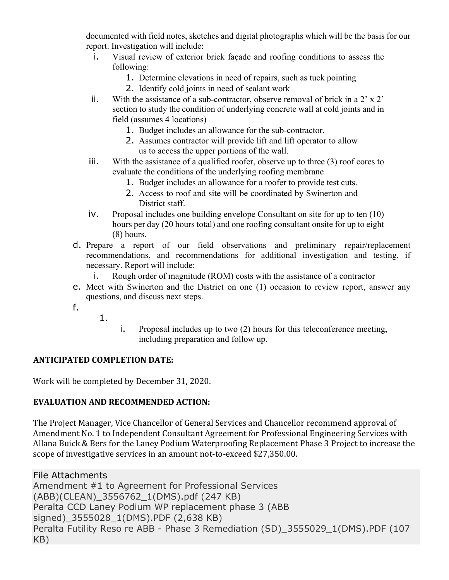documented with field notes, sketches and digital photographs which will be the basis for our report. Investigation will include:

- i. Visual review of exterior brick façade and roofing conditions to assess the following:
	- 1. Determine elevations in need of repairs, such as tuck pointing
	- 2. Identify cold joints in need of sealant work
- ii. With the assistance of a sub-contractor, observe removal of brick in a 2' x 2' section to study the condition of underlying concrete wall at cold joints and in field (assumes 4 locations)
	- 1. Budget includes an allowance for the sub-contractor.
	- 2. Assumes contractor will provide lift and lift operator to allow us to access the upper portions of the wall.
- iii. With the assistance of a qualified roofer, observe up to three (3) roof cores to evaluate the conditions of the underlying roofing membrane
	- 1. Budget includes an allowance for a roofer to provide test cuts.
	- 2. Access to roof and site will be coordinated by Swinerton and District staff.
- iv. Proposal includes one building envelope Consultant on site for up to ten (10) hours per day (20 hours total) and one roofing consultant onsite for up to eight (8) hours.
- d. Prepare a report of our field observations and preliminary repair/replacement recommendations, and recommendations for additional investigation and testing, if necessary. Report will include:
	- i. Rough order of magnitude (ROM) costs with the assistance of a contractor
- e. Meet with Swinerton and the District on one (1) occasion to review report, answer any questions, and discuss next steps.
- f.
- 1.
- i. Proposal includes up to two (2) hours for this teleconference meeting, including preparation and follow up.

## **ANTICIPATED COMPLETION DATE:**

Work will be completed by December 31, 2020.

## **EVALUATION AND RECOMMENDED ACTION:**

The Project Manager, Vice Chancellor of General Services and Chancellor recommend approval of Amendment No. 1 to Independent Consultant Agreement for Professional Engineering Services with Allana Buick & Bers for the Laney Podium Waterproofing Replacement Phase 3 Project to increase the scope of investigative services in an amount not-to-exceed \$27,350.00.

File Attachments Amendment #1 to Agreement for Professional Services (ABB)(CLEAN)\_3556762\_1(DMS).pdf (247 KB) Peralta CCD Laney Podium WP replacement phase 3 (ABB signed) 3555028 1(DMS).PDF (2,638 KB) Peralta Futility Reso re ABB - Phase 3 Remediation (SD)\_3555029\_1(DMS).PDF (107 KB)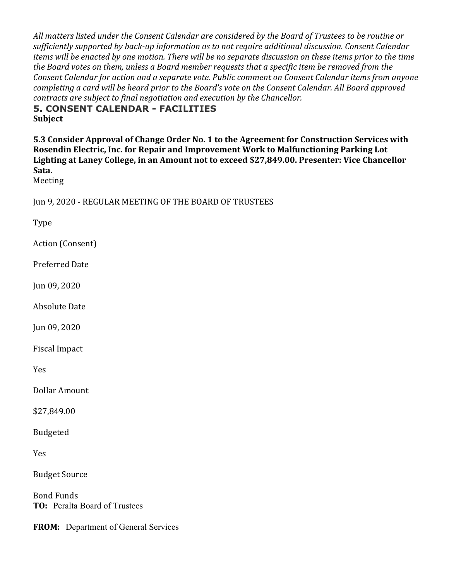All matters listed under the Consent Calendar are considered by the Board of Trustees to be routine or sufficiently supported by back-up information as to not require additional discussion. Consent Calendar *items* will be enacted by one motion. There will be no separate discussion on these items prior to the time the Board votes on them, unless a Board member requests that a specific item be removed from the *Consent Calendar for action and a separate vote. Public comment on Consent Calendar items from anyone* completing a card will be heard prior to the Board's vote on the Consent Calendar. All Board approved *contracts are subject to final negotiation and execution by the Chancellor.* 

**5. CONSENT CALENDAR - FACILITIES Subject**

**5.3 Consider Approval of Change Order No. 1 to the Agreement for Construction Services with** Rosendin Electric, Inc. for Repair and Improvement Work to Malfunctioning Parking Lot Lighting at Laney College, in an Amount not to exceed \$27,849.00. Presenter: Vice Chancellor **Sata.**

Meeting

Jun 9, 2020 - REGULAR MEETING OF THE BOARD OF TRUSTEES

Type

Action (Consent)

Preferred Date

Jun 09, 2020

Absolute Date

Jun 09, 2020

Fiscal Impact

Yes

Dollar Amount

\$27,849.00

Budgeted

Yes

**Budget Source** 

**Bond Funds TO:** Peralta Board of Trustees

**FROM:** Department of General Services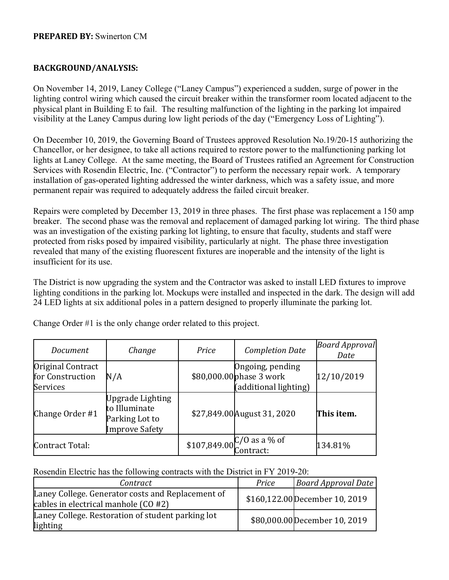#### **PREPARED BY:** Swinerton CM

#### **BACKGROUND/ANALYSIS:**

On November 14, 2019, Laney College ("Laney Campus") experienced a sudden, surge of power in the lighting control wiring which caused the circuit breaker within the transformer room located adjacent to the physical plant in Building E to fail. The resulting malfunction of the lighting in the parking lot impaired visibility at the Laney Campus during low light periods of the day ("Emergency Loss of Lighting").

On December 10, 2019, the Governing Board of Trustees approved Resolution No.19/20-15 authorizing the Chancellor, or her designee, to take all actions required to restore power to the malfunctioning parking lot lights at Laney College. At the same meeting, the Board of Trustees ratified an Agreement for Construction Services with Rosendin Electric, Inc. ("Contractor") to perform the necessary repair work. A temporary installation of gas-operated lighting addressed the winter darkness, which was a safety issue, and more permanent repair was required to adequately address the failed circuit breaker.

Repairs were completed by December 13, 2019 in three phases. The first phase was replacement a 150 amp breaker. The second phase was the removal and replacement of damaged parking lot wiring. The third phase was an investigation of the existing parking lot lighting, to ensure that faculty, students and staff were protected from risks posed by impaired visibility, particularly at night. The phase three investigation revealed that many of the existing fluorescent fixtures are inoperable and the intensity of the light is insufficient for its use.

The District is now upgrading the system and the Contractor was asked to install LED fixtures to improve lighting conditions in the parking lot. Mockups were installed and inspected in the dark. The design will add 24 LED lights at six additional poles in a pattern designed to properly illuminate the parking lot.

| Document                                                 | Change                                                                              | Price | <b>Completion Date</b>                                                | <b>Board Approval</b><br>Date |
|----------------------------------------------------------|-------------------------------------------------------------------------------------|-------|-----------------------------------------------------------------------|-------------------------------|
| Original Contract<br>for Construction<br><b>Services</b> | N/A                                                                                 |       | Ongoing, pending<br>\$80,000.00 phase 3 work<br>(additional lighting) | 12/10/2019                    |
| Change Order #1                                          | <b>Upgrade Lighting</b><br>to Illuminate<br>Parking Lot to<br><b>Improve Safety</b> |       | \$27,849.00 August 31, 2020                                           | This item.                    |
| Contract Total:                                          |                                                                                     |       | \$107,849.00 $C/O$ as a % of<br>Contract:                             | 134.81%                       |

Change Order #1 is the only change order related to this project.

Rosendin Electric has the following contracts with the District in FY 2019-20:

| Contract                                                                                  | Price | <b>Board Approval Date</b>     |
|-------------------------------------------------------------------------------------------|-------|--------------------------------|
| Laney College. Generator costs and Replacement of<br>cables in electrical manhole (CO #2) |       | \$160,122.00 December 10, 2019 |
| Laney College. Restoration of student parking lot<br>lighting                             |       | \$80,000.00 December 10, 2019  |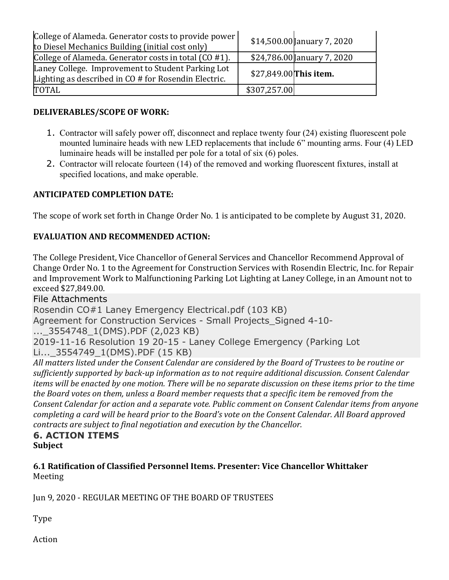| College of Alameda. Generator costs to provide power<br>to Diesel Mechanics Building (initial cost only)  |                        | $$14,500.00$ anuary 7, 2020 |
|-----------------------------------------------------------------------------------------------------------|------------------------|-----------------------------|
| College of Alameda. Generator costs in total (CO #1).                                                     |                        | $$24,786.00$ anuary 7, 2020 |
| Laney College. Improvement to Student Parking Lot<br>Lighting as described in CO # for Rosendin Electric. | \$27,849.00 This item. |                             |
| TOTAL                                                                                                     | \$307,257.00           |                             |

## **DELIVERABLES/SCOPE OF WORK:**

- 1. Contractor will safely power off, disconnect and replace twenty four (24) existing fluorescent pole mounted luminaire heads with new LED replacements that include 6" mounting arms. Four (4) LED luminaire heads will be installed per pole for a total of six (6) poles.
- 2. Contractor will relocate fourteen (14) of the removed and working fluorescent fixtures, install at specified locations, and make operable.

## **ANTICIPATED COMPLETION DATE:**

The scope of work set forth in Change Order No. 1 is anticipated to be complete by August 31, 2020.

## **EVALUATION AND RECOMMENDED ACTION:**

The College President, Vice Chancellor of General Services and Chancellor Recommend Approval of Change Order No. 1 to the Agreement for Construction Services with Rosendin Electric, Inc. for Repair and Improvement Work to Malfunctioning Parking Lot Lighting at Laney College, in an Amount not to exceed \$27,849.00.

## File Attachments

Rosendin CO#1 Laney Emergency Electrical.pdf (103 KB)

Agreement for Construction Services - Small Projects Signed 4-10-

...\_3554748\_1(DMS).PDF (2,023 KB)

2019-11-16 Resolution 19 20-15 - Laney College Emergency (Parking Lot

Li...\_3554749\_1(DMS).PDF (15 KB)

All matters listed under the Consent Calendar are considered by the Board of Trustees to be routine or sufficiently supported by back-up information as to not require additional discussion. Consent Calendar *items* will be enacted by one motion. There will be no separate discussion on these items prior to the time *the Board votes* on them, unless a Board member requests that a specific item be removed from the *Consent Calendar for action and a separate vote. Public comment on Consent Calendar items from anyone completing a card will be heard prior to the Board's vote on the Consent Calendar. All Board approved contracts are subject to final negotiation and execution by the Chancellor.* 

## **6. ACTION ITEMS Subject**

## **6.1 Ratification of Classified Personnel Items. Presenter: Vice Chancellor Whittaker** Meeting

Jun 9, 2020 - REGULAR MEETING OF THE BOARD OF TRUSTEES

Type

Action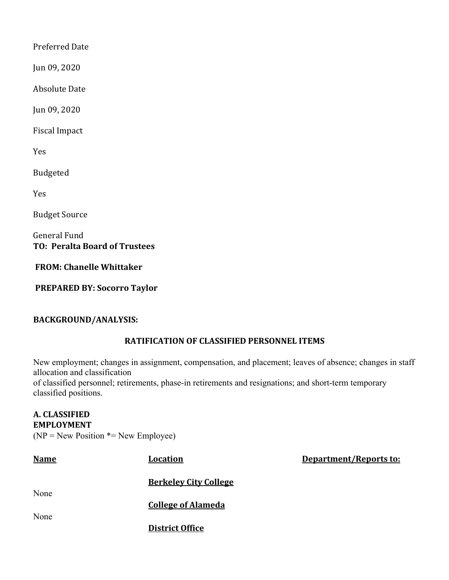Preferred Date

Jun 09, 2020

**Absolute Date** 

Jun 09, 2020

Fiscal Impact

Yes

Budgeted

Yes

**Budget Source** 

General Fund **TO: Peralta Board of Trustees**

**FROM: Chanelle Whittaker**

**PREPARED BY: Socorro Taylor**

## **BACKGROUND/ANALYSIS:**

## **RATIFICATION OF CLASSIFIED PERSONNEL ITEMS**

New employment; changes in assignment, compensation, and placement; leaves of absence; changes in staff allocation and classification

**Department/Reports to:** 

of classified personnel; retirements, phase-in retirements and resignations; and short-term temporary classified positions.

### **A. CLASSIFIED EMPLOYMENT**  $(NP = New Position * = New Employee)$

| <b>Name</b> | <b>Location</b>              |
|-------------|------------------------------|
|             | <b>Berkeley City College</b> |
| None        | <b>College of Alameda</b>    |
| None        | <b>District Office</b>       |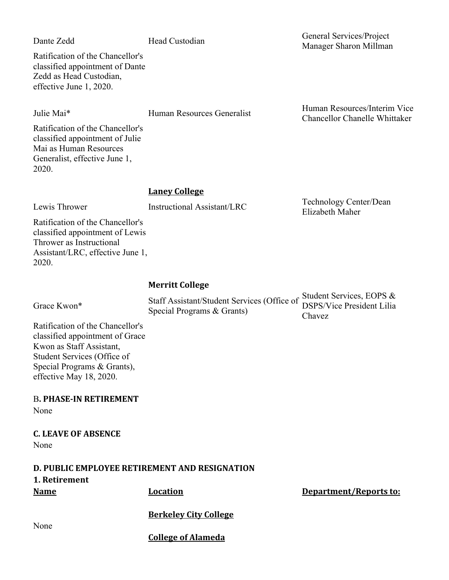Ratification of the Chancellor's classified appointment of Dante Zedd as Head Custodian, effective June 1, 2020.

Ratification of the Chancellor's classified appointment of Julie Mai as Human Resources Generalist, effective June 1, 2020.

#### **Laney College**

Lewis Thrower **Instructional Assistant/LRC** Technology Center/Dean

Ratification of the Chancellor's classified appointment of Lewis Thrower as Instructional Assistant/LRC, effective June 1, 2020.

#### **Merritt College**

| Grace Kwon* |
|-------------|
|             |

Grace Kwon\* Staff Assistant/Student Services (Office of Student Services, EOPS &<br>Staff Assistant/Student Services (Office of SSPS/Vice President Lilia Special Programs & Grants)

DSPS/Vice President Lilia Chavez

Elizabeth Maher

Ratification of the Chancellor's classified appointment of Grace Kwon as Staff Assistant, Student Services (Office of Special Programs & Grants), effective May 18, 2020.

None

## **C. LEAVE OF ABSENCE**

None

**D. PUBLIC EMPLOYEE RETIREMENT AND RESIGNATION 1. Retirement Name Location Location Department/Reports to:** 

**Berkeley City College**

None

**College of Alameda**

Dante Zedd Head Custodian General Services/Project Manager Sharon Millman

Julie Mai\* Human Resources Generalist Human Resources/Interim Vice Chancellor Chanelle Whittaker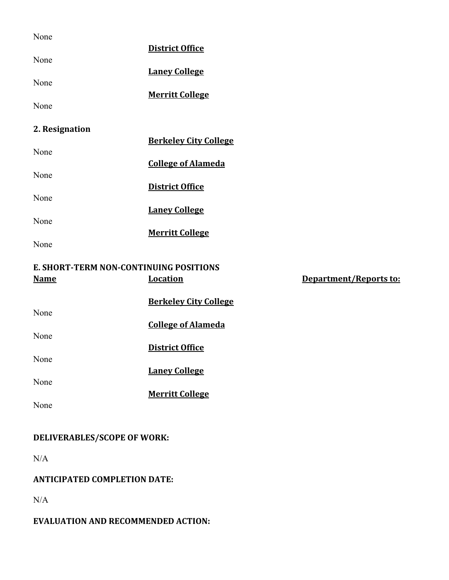| None                                   |                              |                        |
|----------------------------------------|------------------------------|------------------------|
| None                                   | <b>District Office</b>       |                        |
|                                        | <b>Laney College</b>         |                        |
| None                                   |                              |                        |
| None                                   | <b>Merritt College</b>       |                        |
| 2. Resignation                         |                              |                        |
| None                                   | <b>Berkeley City College</b> |                        |
|                                        | <b>College of Alameda</b>    |                        |
| None                                   | <b>District Office</b>       |                        |
| None                                   |                              |                        |
| None                                   | <b>Laney College</b>         |                        |
|                                        | <b>Merritt College</b>       |                        |
| None                                   |                              |                        |
| E. SHORT-TERM NON-CONTINUING POSITIONS |                              |                        |
| <u>Name</u>                            | <b>Location</b>              | Department/Reports to: |
|                                        | <b>Berkeley City College</b> |                        |
| None                                   |                              |                        |
|                                        | <b>College of Alameda</b>    |                        |
| None                                   | <b>District Office</b>       |                        |
| None                                   |                              |                        |
|                                        | <b>Laney College</b>         |                        |
| None                                   |                              |                        |
| None                                   | <b>Merritt College</b>       |                        |
|                                        |                              |                        |
|                                        |                              |                        |
| DELIVERABLES/SCOPE OF WORK:            |                              |                        |

N/A

# **ANTICIPATED COMPLETION DATE:**

N/A

# **EVALUATION AND RECOMMENDED ACTION:**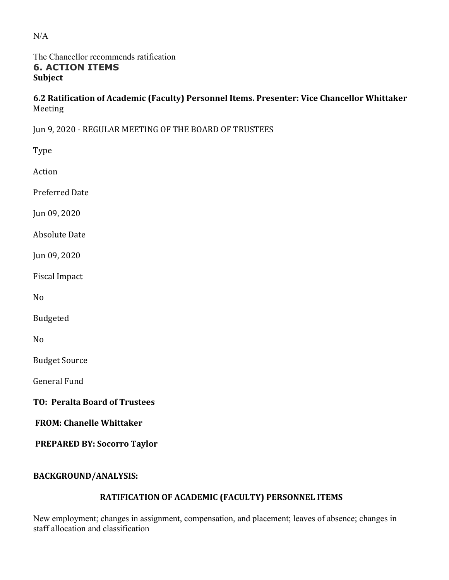## The Chancellor recommends ratification **6. ACTION ITEMS Subject**

**6.2 Ratification of Academic (Faculty) Personnel Items. Presenter: Vice Chancellor Whittaker** Meeting

Jun 9, 2020 - REGULAR MEETING OF THE BOARD OF TRUSTEES

| Type                                 |
|--------------------------------------|
| Action                               |
| <b>Preferred Date</b>                |
| Jun 09, 2020                         |
| <b>Absolute Date</b>                 |
| Jun 09, 2020                         |
| <b>Fiscal Impact</b>                 |
| No                                   |
| <b>Budgeted</b>                      |
| N <sub>0</sub>                       |
| <b>Budget Source</b>                 |
| <b>General Fund</b>                  |
| <b>TO: Peralta Board of Trustees</b> |
| <b>FROM: Chanelle Whittaker</b>      |
| <b>PREPARED BY: Socorro Taylor</b>   |
|                                      |

# **BACKGROUND/ANALYSIS:**

# **RATIFICATION OF ACADEMIC (FACULTY) PERSONNEL ITEMS**

New employment; changes in assignment, compensation, and placement; leaves of absence; changes in staff allocation and classification

N/A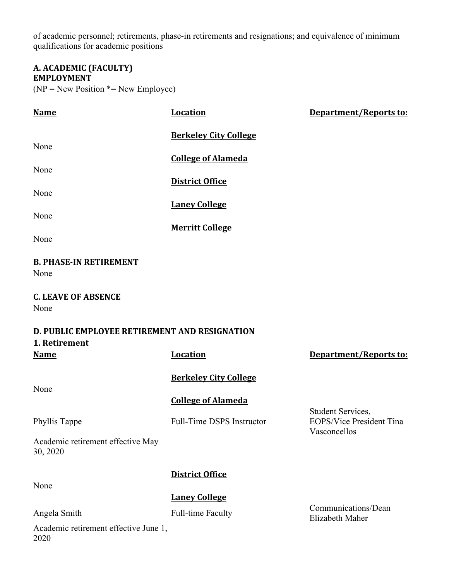of academic personnel; retirements, phase-in retirements and resignations; and equivalence of minimum qualifications for academic positions

#### **A. ACADEMIC (FACULTY) EMPLOYMENT**

 $(NP = New Position * = New Employee)$ 

| <b>Name</b>                                                    | <b>Location</b>                  | Department/Reports to:                                               |  |  |
|----------------------------------------------------------------|----------------------------------|----------------------------------------------------------------------|--|--|
| None                                                           | <b>Berkeley City College</b>     |                                                                      |  |  |
|                                                                | <b>College of Alameda</b>        |                                                                      |  |  |
| None                                                           | <b>District Office</b>           |                                                                      |  |  |
| None                                                           | <b>Laney College</b>             |                                                                      |  |  |
| None                                                           | <b>Merritt College</b>           |                                                                      |  |  |
| None                                                           |                                  |                                                                      |  |  |
| <b>B. PHASE-IN RETIREMENT</b><br>None                          |                                  |                                                                      |  |  |
| <b>C. LEAVE OF ABSENCE</b><br>None                             |                                  |                                                                      |  |  |
| D. PUBLIC EMPLOYEE RETIREMENT AND RESIGNATION<br>1. Retirement |                                  |                                                                      |  |  |
|                                                                |                                  |                                                                      |  |  |
| <b>Name</b>                                                    | <b>Location</b>                  | Department/Reports to:                                               |  |  |
| None                                                           | <b>Berkeley City College</b>     |                                                                      |  |  |
|                                                                | <b>College of Alameda</b>        |                                                                      |  |  |
| Phyllis Tappe                                                  | <b>Full-Time DSPS Instructor</b> | Student Services,<br><b>EOPS/Vice President Tina</b><br>Vasconcellos |  |  |
| Academic retirement effective May<br>30, 2020                  |                                  |                                                                      |  |  |
|                                                                | <b>District Office</b>           |                                                                      |  |  |
| None                                                           | <b>Laney College</b>             | Communications/Dean                                                  |  |  |

Academic retirement effective June 1, 2020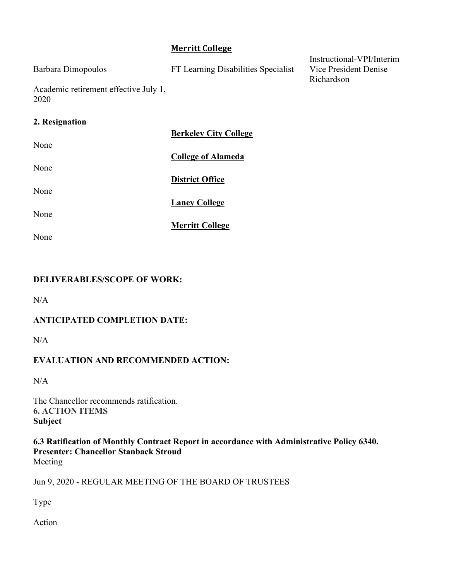## **Merritt College**

| Barbara Dimopoulos                            | FT Learning Disabilities Specialist | Instructional-VPI/Interim<br>Vice President Denise |
|-----------------------------------------------|-------------------------------------|----------------------------------------------------|
|                                               |                                     | Richardson                                         |
| Academic retirement effective July 1,<br>2020 |                                     |                                                    |
| 2. Resignation                                |                                     |                                                    |
|                                               | <b>Berkeley City College</b>        |                                                    |
| None                                          |                                     |                                                    |
|                                               | <b>College of Alameda</b>           |                                                    |
| None                                          |                                     |                                                    |
|                                               | <b>District Office</b>              |                                                    |

None

None

**Merritt College**

**Laney College**

None

## **DELIVERABLES/SCOPE OF WORK:**

 $N/A$ 

## **ANTICIPATED COMPLETION DATE:**

 $N/A$ 

## **EVALUATION AND RECOMMENDED ACTION:**

N/A

The Chancellor recommends ratification. **6. ACTION ITEMS Subject**

**6.3 Ratification of Monthly Contract Report in accordance with Administrative Policy 6340. Presenter: Chancellor Stanback Stroud** Meeting

Jun 9, 2020 - REGULAR MEETING OF THE BOARD OF TRUSTEES

Type

Action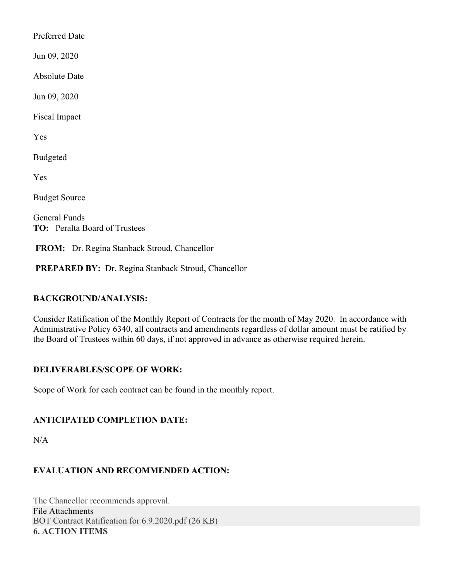Preferred Date

Jun 09, 2020

Absolute Date

Jun 09, 2020

Fiscal Impact

Yes

Budgeted

Yes

Budget Source

General Funds **TO:** Peralta Board of Trustees

**FROM:** Dr. Regina Stanback Stroud, Chancellor

**PREPARED BY:** Dr. Regina Stanback Stroud, Chancellor

#### **BACKGROUND/ANALYSIS:**

Consider Ratification of the Monthly Report of Contracts for the month of May 2020. In accordance with Administrative Policy 6340, all contracts and amendments regardless of dollar amount must be ratified by the Board of Trustees within 60 days, if not approved in advance as otherwise required herein.

#### **DELIVERABLES/SCOPE OF WORK:**

Scope of Work for each contract can be found in the monthly report.

#### **ANTICIPATED COMPLETION DATE:**

N/A

## **EVALUATION AND RECOMMENDED ACTION:**

The Chancellor recommends approval. File Attachments BOT Contract Ratification for 6.9.2020.pdf (26 KB) **6. ACTION ITEMS**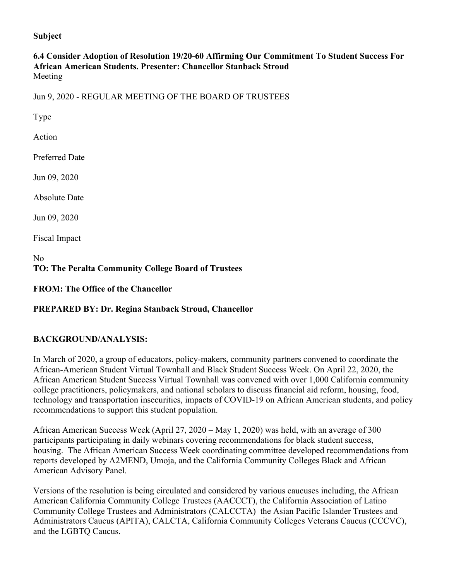#### **Subject**

### **6.4 Consider Adoption of Resolution 19/20-60 Affirming Our Commitment To Student Success For African American Students. Presenter: Chancellor Stanback Stroud** Meeting

Jun 9, 2020 - REGULAR MEETING OF THE BOARD OF TRUSTEES

Type

Action

Preferred Date

Jun 09, 2020

Absolute Date

Jun 09, 2020

Fiscal Impact

No **TO: The Peralta Community College Board of Trustees**

**FROM: The Office of the Chancellor**

#### **PREPARED BY: Dr. Regina Stanback Stroud, Chancellor**

#### **BACKGROUND/ANALYSIS:**

In March of 2020, a group of educators, policy-makers, community partners convened to coordinate the African-American Student Virtual Townhall and Black Student Success Week. On April 22, 2020, the African American Student Success Virtual Townhall was convened with over 1,000 California community college practitioners, policymakers, and national scholars to discuss financial aid reform, housing, food, technology and transportation insecurities, impacts of COVID-19 on African American students, and policy recommendations to support this student population.

African American Success Week (April 27, 2020 – May 1, 2020) was held, with an average of 300 participants participating in daily webinars covering recommendations for black student success, housing. The African American Success Week coordinating committee developed recommendations from reports developed by A2MEND, Umoja, and the California Community Colleges Black and African American Advisory Panel.

Versions of the resolution is being circulated and considered by various caucuses including, the African American California Community College Trustees (AACCCT), the California Association of Latino Community College Trustees and Administrators (CALCCTA) the Asian Pacific Islander Trustees and Administrators Caucus (APITA), CALCTA, California Community Colleges Veterans Caucus (CCCVC), and the LGBTQ Caucus.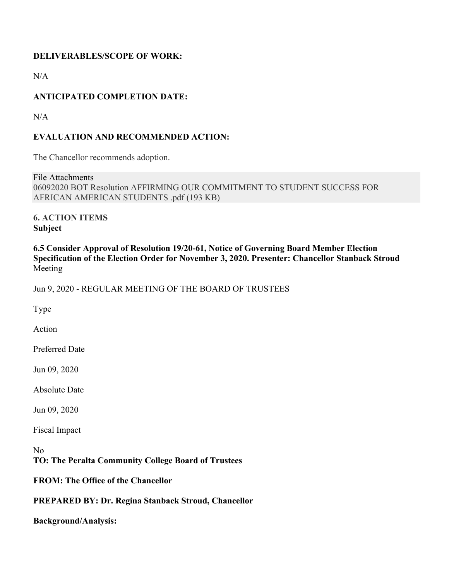## **DELIVERABLES/SCOPE OF WORK:**

 $N/A$ 

## **ANTICIPATED COMPLETION DATE:**

N/A

## **EVALUATION AND RECOMMENDED ACTION:**

The Chancellor recommends adoption.

File Attachments 06092020 BOT Resolution AFFIRMING OUR COMMITMENT TO STUDENT SUCCESS FOR AFRICAN AMERICAN STUDENTS .pdf (193 KB)

**6. ACTION ITEMS Subject**

**6.5 Consider Approval of Resolution 19/20-61, Notice of Governing Board Member Election Specification of the Election Order for November 3, 2020. Presenter: Chancellor Stanback Stroud** Meeting

Jun 9, 2020 - REGULAR MEETING OF THE BOARD OF TRUSTEES

Type

Action

Preferred Date

Jun 09, 2020

Absolute Date

Jun 09, 2020

Fiscal Impact

No **TO: The Peralta Community College Board of Trustees**

**FROM: The Office of the Chancellor**

**PREPARED BY: Dr. Regina Stanback Stroud, Chancellor**

**Background/Analysis:**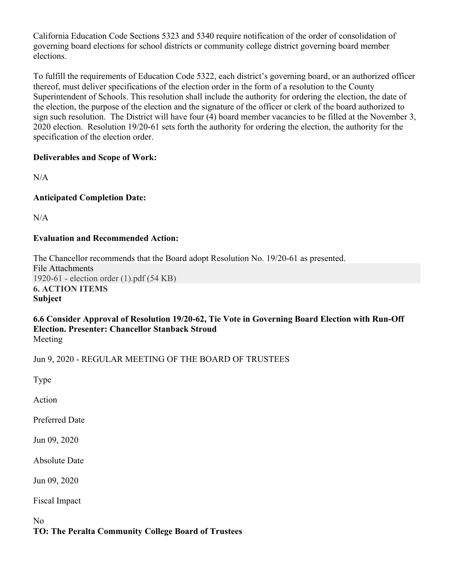California Education Code Sections 5323 and 5340 require notification of the order of consolidation of governing board elections for school districts or community college district governing board member elections.

To fulfill the requirements of Education Code 5322, each district's governing board, or an authorized officer thereof, must deliver specifications of the election order in the form of a resolution to the County Superintendent of Schools. This resolution shall include the authority for ordering the election, the date of the election, the purpose of the election and the signature of the officer or clerk of the board authorized to sign such resolution. The District will have four (4) board member vacancies to be filled at the November 3, 2020 election. Resolution 19/20-61 sets forth the authority for ordering the election, the authority for the specification of the election order.

## **Deliverables and Scope of Work:**

 $N/A$ 

## **Anticipated Completion Date:**

 $N/A$ 

## **Evaluation and Recommended Action:**

The Chancellor recommends that the Board adopt Resolution No. 19/20-61 as presented. File Attachments 1920-61 - election order (1).pdf (54 KB) **6. ACTION ITEMS Subject**

#### **6.6 Consider Approval of Resolution 19/20-62, Tie Vote in Governing Board Election with Run-Off Election. Presenter: Chancellor Stanback Stroud** Meeting

Jun 9, 2020 - REGULAR MEETING OF THE BOARD OF TRUSTEES

Type

Action

Preferred Date

Jun 09, 2020

Absolute Date

Jun 09, 2020

Fiscal Impact

No **TO: The Peralta Community College Board of Trustees**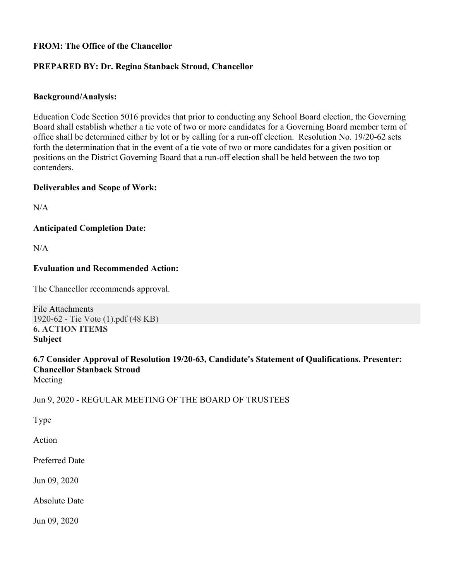## **FROM: The Office of the Chancellor**

### **PREPARED BY: Dr. Regina Stanback Stroud, Chancellor**

#### **Background/Analysis:**

Education Code Section 5016 provides that prior to conducting any School Board election, the Governing Board shall establish whether a tie vote of two or more candidates for a Governing Board member term of office shall be determined either by lot or by calling for a run-off election. Resolution No. 19/20-62 sets forth the determination that in the event of a tie vote of two or more candidates for a given position or positions on the District Governing Board that a run-off election shall be held between the two top contenders.

#### **Deliverables and Scope of Work:**

N/A

**Anticipated Completion Date:**

 $N/A$ 

#### **Evaluation and Recommended Action:**

The Chancellor recommends approval.

File Attachments 1920-62 - Tie Vote (1).pdf (48 KB) **6. ACTION ITEMS Subject**

# **6.7 Consider Approval of Resolution 19/20-63, Candidate's Statement of Qualifications. Presenter: Chancellor Stanback Stroud**

Meeting

Jun 9, 2020 - REGULAR MEETING OF THE BOARD OF TRUSTEES

Type

Action

Preferred Date

Jun 09, 2020

Absolute Date

Jun 09, 2020